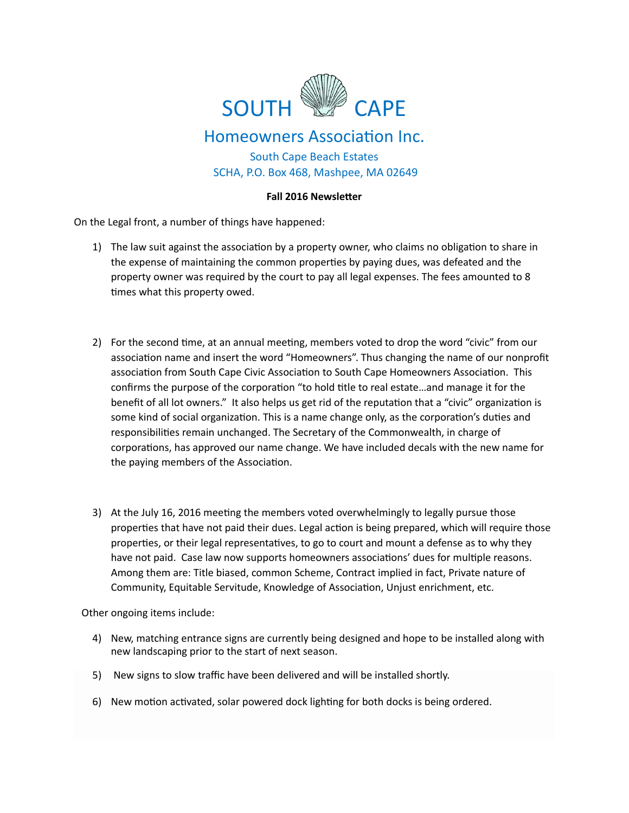

## Homeowners Association Inc.

South Cape Beach Estates SCHA, P.O. Box 468, Mashpee, MA 02649

## **Fall 2016 Newsletter**

On the Legal front, a number of things have happened:

- 1) The law suit against the association by a property owner, who claims no obligation to share in the expense of maintaining the common properties by paying dues, was defeated and the property owner was required by the court to pay all legal expenses. The fees amounted to 8 times what this property owed.
- 2) For the second time, at an annual meeting, members voted to drop the word "civic" from our association name and insert the word "Homeowners". Thus changing the name of our nonprofit association from South Cape Civic Association to South Cape Homeowners Association. This confirms the purpose of the corporation "to hold title to real estate...and manage it for the benefit of all lot owners." It also helps us get rid of the reputation that a "civic" organization is some kind of social organization. This is a name change only, as the corporation's duties and responsibilities remain unchanged. The Secretary of the Commonwealth, in charge of corporations, has approved our name change. We have included decals with the new name for the paying members of the Association.
- 3) At the July 16, 2016 meeting the members voted overwhelmingly to legally pursue those properties that have not paid their dues. Legal action is being prepared, which will require those properties, or their legal representatives, to go to court and mount a defense as to why they have not paid. Case law now supports homeowners associations' dues for multiple reasons. Among them are: Title biased, common Scheme, Contract implied in fact, Private nature of Community, Equitable Servitude, Knowledge of Association, Unjust enrichment, etc.

Other ongoing items include:

- 4) New, matching entrance signs are currently being designed and hope to be installed along with new landscaping prior to the start of next season.
- 5) New signs to slow traffic have been delivered and will be installed shortly.
- 6) New motion activated, solar powered dock lighting for both docks is being ordered.